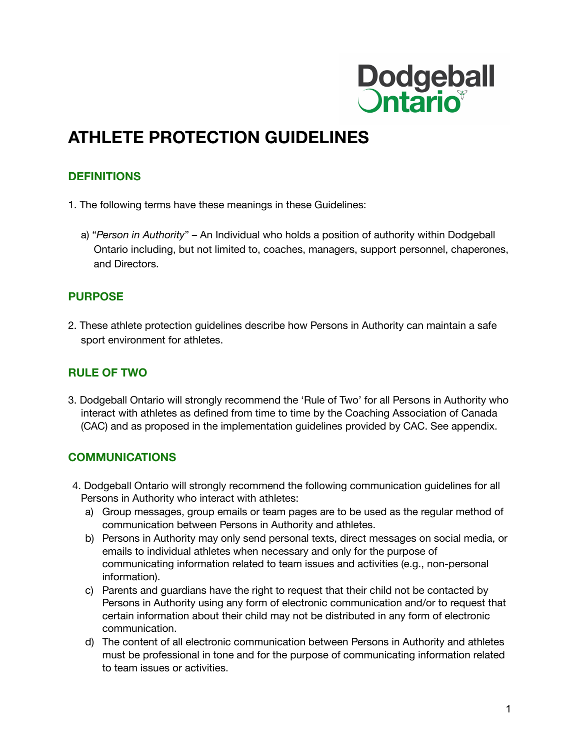

## **ATHLETE PROTECTION GUIDELINES**

#### **DEFINITIONS**

- 1. The following terms have these meanings in these Guidelines:
	- a) "*Person in Authority*" An Individual who holds a position of authority within Dodgeball Ontario including, but not limited to, coaches, managers, support personnel, chaperones, and Directors.

#### **PURPOSE**

2. These athlete protection guidelines describe how Persons in Authority can maintain a safe sport environment for athletes.

#### **RULE OF TWO**

3. Dodgeball Ontario will strongly recommend the 'Rule of Two' for all Persons in Authority who interact with athletes as defined from time to time by the Coaching Association of Canada (CAC) and as proposed in the implementation guidelines provided by CAC. See appendix.

#### **COMMUNICATIONS**

- 4. Dodgeball Ontario will strongly recommend the following communication guidelines for all Persons in Authority who interact with athletes:
	- a) Group messages, group emails or team pages are to be used as the regular method of communication between Persons in Authority and athletes.
	- b) Persons in Authority may only send personal texts, direct messages on social media, or emails to individual athletes when necessary and only for the purpose of communicating information related to team issues and activities (e.g., non-personal information).
	- c) Parents and guardians have the right to request that their child not be contacted by Persons in Authority using any form of electronic communication and/or to request that certain information about their child may not be distributed in any form of electronic communication.
	- d) The content of all electronic communication between Persons in Authority and athletes must be professional in tone and for the purpose of communicating information related to team issues or activities.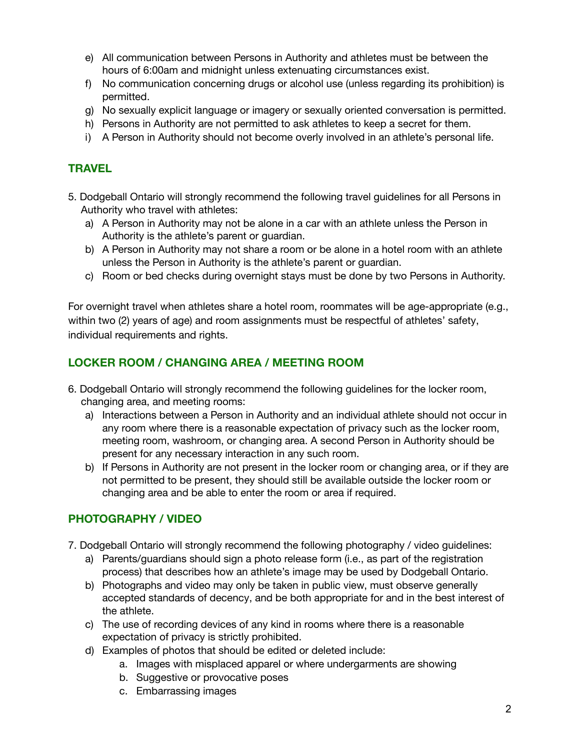- e) All communication between Persons in Authority and athletes must be between the hours of 6:00am and midnight unless extenuating circumstances exist.
- f) No communication concerning drugs or alcohol use (unless regarding its prohibition) is permitted.
- g) No sexually explicit language or imagery or sexually oriented conversation is permitted.
- h) Persons in Authority are not permitted to ask athletes to keep a secret for them.
- i) A Person in Authority should not become overly involved in an athlete's personal life.

#### **TRAVEL**

- 5. Dodgeball Ontario will strongly recommend the following travel guidelines for all Persons in Authority who travel with athletes:
	- a) A Person in Authority may not be alone in a car with an athlete unless the Person in Authority is the athlete's parent or guardian.
	- b) A Person in Authority may not share a room or be alone in a hotel room with an athlete unless the Person in Authority is the athlete's parent or guardian.
	- c) Room or bed checks during overnight stays must be done by two Persons in Authority.

For overnight travel when athletes share a hotel room, roommates will be age-appropriate (e.g., within two (2) years of age) and room assignments must be respectful of athletes' safety, individual requirements and rights.

#### **LOCKER ROOM / CHANGING AREA / MEETING ROOM**

- 6. Dodgeball Ontario will strongly recommend the following guidelines for the locker room, changing area, and meeting rooms:
	- a) Interactions between a Person in Authority and an individual athlete should not occur in any room where there is a reasonable expectation of privacy such as the locker room, meeting room, washroom, or changing area. A second Person in Authority should be present for any necessary interaction in any such room.
	- b) If Persons in Authority are not present in the locker room or changing area, or if they are not permitted to be present, they should still be available outside the locker room or changing area and be able to enter the room or area if required.

#### **PHOTOGRAPHY / VIDEO**

- 7. Dodgeball Ontario will strongly recommend the following photography / video guidelines:
	- a) Parents/guardians should sign a photo release form (i.e., as part of the registration process) that describes how an athlete's image may be used by Dodgeball Ontario.
	- b) Photographs and video may only be taken in public view, must observe generally accepted standards of decency, and be both appropriate for and in the best interest of the athlete.
	- c) The use of recording devices of any kind in rooms where there is a reasonable expectation of privacy is strictly prohibited.
	- d) Examples of photos that should be edited or deleted include:
		- a. Images with misplaced apparel or where undergarments are showing
		- b. Suggestive or provocative poses
		- c. Embarrassing images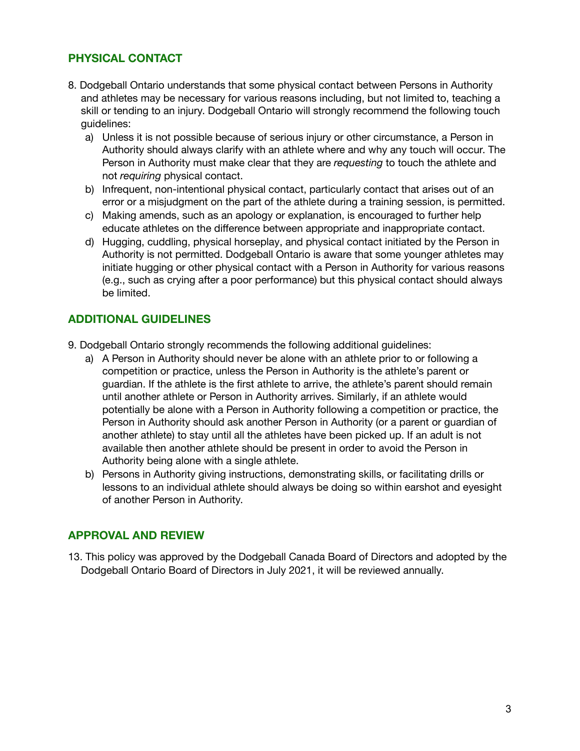#### **PHYSICAL CONTACT**

- 8. Dodgeball Ontario understands that some physical contact between Persons in Authority and athletes may be necessary for various reasons including, but not limited to, teaching a skill or tending to an injury. Dodgeball Ontario will strongly recommend the following touch guidelines:
	- a) Unless it is not possible because of serious injury or other circumstance, a Person in Authority should always clarify with an athlete where and why any touch will occur. The Person in Authority must make clear that they are *requesting* to touch the athlete and not *requiring* physical contact.
	- b) Infrequent, non-intentional physical contact, particularly contact that arises out of an error or a misjudgment on the part of the athlete during a training session, is permitted.
	- c) Making amends, such as an apology or explanation, is encouraged to further help educate athletes on the difference between appropriate and inappropriate contact.
	- d) Hugging, cuddling, physical horseplay, and physical contact initiated by the Person in Authority is not permitted. Dodgeball Ontario is aware that some younger athletes may initiate hugging or other physical contact with a Person in Authority for various reasons (e.g., such as crying after a poor performance) but this physical contact should always be limited.

#### **ADDITIONAL GUIDELINES**

- 9. Dodgeball Ontario strongly recommends the following additional guidelines:
	- a) A Person in Authority should never be alone with an athlete prior to or following a competition or practice, unless the Person in Authority is the athlete's parent or guardian. If the athlete is the first athlete to arrive, the athlete's parent should remain until another athlete or Person in Authority arrives. Similarly, if an athlete would potentially be alone with a Person in Authority following a competition or practice, the Person in Authority should ask another Person in Authority (or a parent or guardian of another athlete) to stay until all the athletes have been picked up. If an adult is not available then another athlete should be present in order to avoid the Person in Authority being alone with a single athlete.
	- b) Persons in Authority giving instructions, demonstrating skills, or facilitating drills or lessons to an individual athlete should always be doing so within earshot and eyesight of another Person in Authority.

#### **APPROVAL AND REVIEW**

13. This policy was approved by the Dodgeball Canada Board of Directors and adopted by the Dodgeball Ontario Board of Directors in July 2021, it will be reviewed annually.